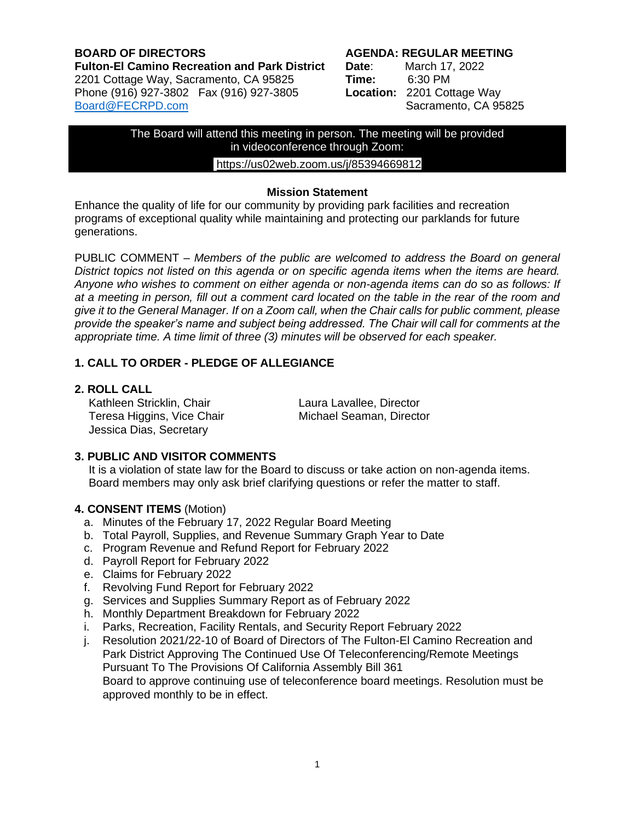#### **BOARD OF DIRECTORS AGENDA: REGULAR MEETING Fulton-El Camino Recreation and Park District Date**: March 17, 2022 2201 Cottage Way, Sacramento, CA 95825 **Time:** 6:30 PM Phone (916) 927-3802 Fax (916) 927-3805 [Board@FECRPD.com](mailto:Board@FECRPD.com) Sacramento, CA 95825

The Board will attend this meeting in person. The meeting will be provided in videoconference through Zoom:

## <https://us02web.zoom.us/j/85394669812>

#### **Mission Statement**

Enhance the quality of life for our community by providing park facilities and recreation programs of exceptional quality while maintaining and protecting our parklands for future generations.

PUBLIC COMMENT *– Members of the public are welcomed to address the Board on general District topics not listed on this agenda or on specific agenda items when the items are heard. Anyone who wishes to comment on either agenda or non-agenda items can do so as follows: If at a meeting in person, fill out a comment card located on the table in the rear of the room and give it to the General Manager. If on a Zoom call, when the Chair calls for public comment, please provide the speaker's name and subject being addressed. The Chair will call for comments at the appropriate time. A time limit of three (3) minutes will be observed for each speaker.*

# **1. CALL TO ORDER - PLEDGE OF ALLEGIANCE**

#### **2. ROLL CALL**

Kathleen Stricklin, Chair **Laura Laura Lavallee, Director** Teresa Higgins, Vice Chair **Michael Seaman, Director** Jessica Dias, Secretary

## **3. PUBLIC AND VISITOR COMMENTS**

It is a violation of state law for the Board to discuss or take action on non-agenda items. Board members may only ask brief clarifying questions or refer the matter to staff.

## **4. CONSENT ITEMS** (Motion)

- a. Minutes of the February 17, 2022 Regular Board Meeting
- b. Total Payroll, Supplies, and Revenue Summary Graph Year to Date
- c. Program Revenue and Refund Report for February 2022
- d. Payroll Report for February 2022
- e. Claims for February 2022
- f. Revolving Fund Report for February 2022
- g. Services and Supplies Summary Report as of February 2022
- h. Monthly Department Breakdown for February 2022
- i. Parks, Recreation, Facility Rentals, and Security Report February 2022
- j. Resolution 2021/22-10 of Board of Directors of The Fulton-El Camino Recreation and Park District Approving The Continued Use Of Teleconferencing/Remote Meetings Pursuant To The Provisions Of California Assembly Bill 361 Board to approve continuing use of teleconference board meetings. Resolution must be approved monthly to be in effect.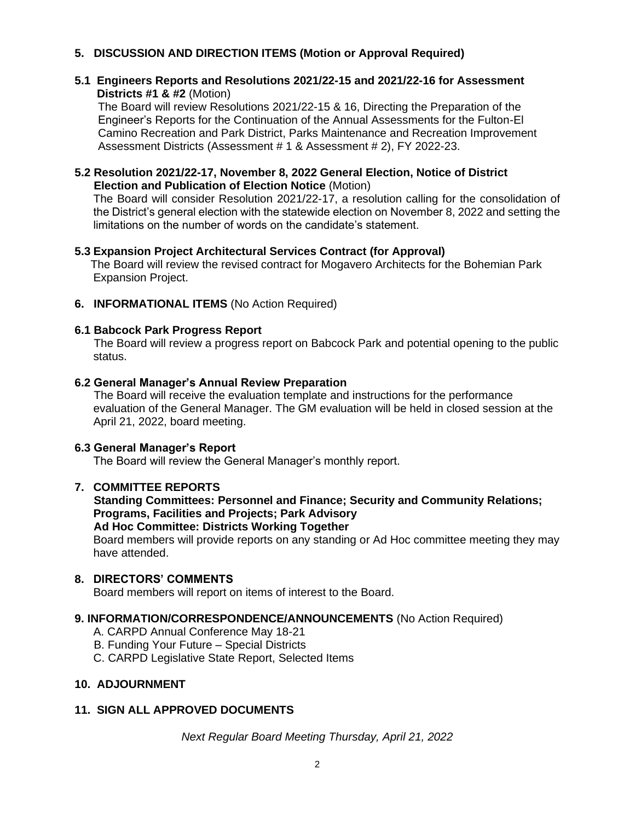# **5. DISCUSSION AND DIRECTION ITEMS (Motion or Approval Required)**

#### **5.1 Engineers Reports and Resolutions 2021/22-15 and 2021/22-16 for Assessment Districts #1 & #2** (Motion)

The Board will review Resolutions 2021/22-15 & 16, Directing the Preparation of the Engineer's Reports for the Continuation of the Annual Assessments for the Fulton-El Camino Recreation and Park District, Parks Maintenance and Recreation Improvement Assessment Districts (Assessment # 1 & Assessment # 2), FY 2022-23.

## **5.2 Resolution 2021/22-17, November 8, 2022 General Election, Notice of District Election and Publication of Election Notice** (Motion)

The Board will consider Resolution 2021/22-17, a resolution calling for the consolidation of the District's general election with the statewide election on November 8, 2022 and setting the limitations on the number of words on the candidate's statement.

## **5.3 Expansion Project Architectural Services Contract (for Approval)**

The Board will review the revised contract for Mogavero Architects for the Bohemian Park Expansion Project.

**6. INFORMATIONAL ITEMS** (No Action Required)

#### **6.1 Babcock Park Progress Report**

 The Board will review a progress report on Babcock Park and potential opening to the public status.

## **6.2 General Manager's Annual Review Preparation**

The Board will receive the evaluation template and instructions for the performance evaluation of the General Manager. The GM evaluation will be held in closed session at the April 21, 2022, board meeting.

#### **6.3 General Manager's Report**

The Board will review the General Manager's monthly report.

## **7. COMMITTEE REPORTS**

#### **Standing Committees: Personnel and Finance; Security and Community Relations; Programs, Facilities and Projects; Park Advisory Ad Hoc Committee: Districts Working Together**

Board members will provide reports on any standing or Ad Hoc committee meeting they may have attended.

#### **8. DIRECTORS' COMMENTS**

Board members will report on items of interest to the Board.

## **9. INFORMATION/CORRESPONDENCE/ANNOUNCEMENTS** (No Action Required)

- A. CARPD Annual Conference May 18-21
- B. Funding Your Future Special Districts
- C. CARPD Legislative State Report, Selected Items

# **10. ADJOURNMENT**

## **11. SIGN ALL APPROVED DOCUMENTS**

*Next Regular Board Meeting Thursday, April 21, 2022*